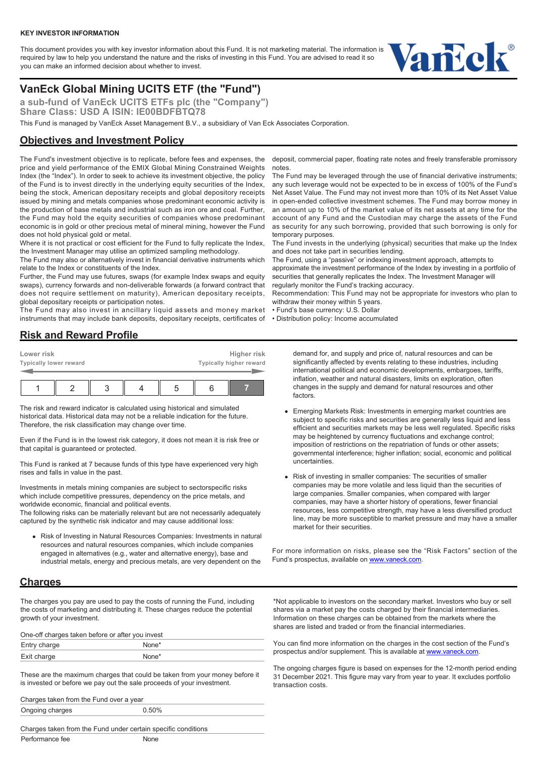#### **KEY INVESTOR INFORMATION**

This document provides you with key investor information about this Fund. It is not marketing material. The information is required by law to help you understand the nature and the risks of investing in this Fund. You are advised to read it so you can make an informed decision about whether to invest.



# **VanEck Global Mining UCITS ETF (the "Fund")**

**a sub-fund of VanEck UCITS ETFs plc (the "Company")** Share Class: USD A ISIN: IE00BDFBTQ78

This Fund is managed by VanEck Asset Management B.V., a subsidiary of Van Eck Associates Corporation.

## **Objectives and Investment Policy**

The Fund's investment objective is to replicate, before fees and expenses, the price and yield performance of the EMIX Global Mining Constrained Weights Index (the "Index"). In order to seek to achieve its investment objective, the policy of the Fund is to invest directly in the underlying equity securities of the Index, being the stock, American depositary receipts and global depository receipts issued by mining and metals companies whose predominant economic activity is the production of base metals and industrial such as iron ore and coal. Further, the Fund may hold the equity securities of companies whose predominant economic is in gold or other precious metal of mineral mining, however the Fund does not hold physical gold or metal.

Where it is not practical or cost efficient for the Fund to fully replicate the Index. the Investment Manager may utilise an optimized sampling methodology.

The Fund may also or alternatively invest in financial derivative instruments which relate to the Index or constituents of the Index.

Further, the Fund may use futures, swaps (for example Index swaps and equity swaps), currency forwards and non-deliverable forwards (a forward contract that does not require settlement on maturity), American depositary receipts, global depositary receipts or participation notes.

The Fund may also invest in ancillary liquid assets and money market instruments that may include bank deposits, depositary receipts, certificates of

# **Risk and Reward Profile**

| Lower risk<br>Typically lower reward |  |  | Higher risk<br>Typically higher reward |  |
|--------------------------------------|--|--|----------------------------------------|--|
|                                      |  |  |                                        |  |

The risk and reward indicator is calculated using historical and simulated historical data. Historical data may not be a reliable indication for the future. Therefore, the risk classification may change over time.

Even if the Fund is in the lowest risk category, it does not mean it is risk free or that capital is guaranteed or protected.

This Fund is ranked at 7 because funds of this type have experienced very high rises and falls in value in the past.

Investments in metals mining companies are subject to sectorspecific risks which include competitive pressures, dependency on the price metals, and worldwide economic, financial and political events.

The following risks can be materially relevant but are not necessarily adequately captured by the synthetic risk indicator and may cause additional loss:

Risk of Investing in Natural Resources Companies: Investments in natural resources and natural resources companies, which include companies engaged in alternatives (e.g., water and alternative energy), base and industrial metals, energy and precious metals, are very dependent on the

### **Charges**

The charges you pay are used to pay the costs of running the Fund, including the costs of marketing and distributing it. These charges reduce the potential growth of your investment.

| One-off charges taken before or after you invest |                   |  |  |  |
|--------------------------------------------------|-------------------|--|--|--|
| Entry charge                                     | None*             |  |  |  |
| Exit charge                                      | None <sup>*</sup> |  |  |  |

These are the maximum charges that could be taken from your money before it is invested or before we pay out the sale proceeds of your investment.

Charges taken from the Fund over a year

| Ongoing charges | 0.50% |
|-----------------|-------|
|                 |       |

Charges taken from the Fund under certain specific conditions Performance fee None

deposit, commercial paper, floating rate notes and freely transferable promissory notes.

The Fund may be leveraged through the use of financial derivative instruments; any such leverage would not be expected to be in excess of 100% of the Fund's Net Asset Value. The Fund may not invest more than 10% of its Net Asset Value in open-ended collective investment schemes. The Fund may borrow money in an amount up to 10% of the market value of its net assets at any time for the account of any Fund and the Custodian may charge the assets of the Fund as security for any such borrowing, provided that such borrowing is only for temporary purposes.

The Fund invests in the underlying (physical) securities that make up the Index and does not take part in securities lending.

The Fund, using a "passive" or indexing investment approach, attempts to approximate the investment performance of the Index by investing in a portfolio of securities that generally replicates the Index. The Investment Manager will regularly monitor the Fund's tracking accuracy.

Recommendation: This Fund may not be appropriate for investors who plan to withdraw their money within 5 years.

• Fund's base currency: U.S. Dollar

• Distribution policy: Income accumulated

demand for, and supply and price of, natural resources and can be significantly affected by events relating to these industries, including international political and economic developments, embargoes, tariffs, inflation, weather and natural disasters, limits on exploration, often changes in the supply and demand for natural resources and other factors.

- Emerging Markets Risk: Investments in emerging market countries are subject to specific risks and securities are generally less liquid and less efficient and securities markets may be less well regulated. Specific risks may be heightened by currency fluctuations and exchange control; imposition of restrictions on the repatriation of funds or other assets; governmental interference; higher inflation; social, economic and political uncertainties.
- Risk of investing in smaller companies: The securities of smaller companies may be more volatile and less liquid than the securities of large companies. Smaller companies, when compared with larger companies, may have a shorter history of operations, fewer financial resources, less competitive strength, may have a less diversified product line, may be more susceptible to market pressure and may have a smaller market for their securities.

For more information on risks, please see the "Risk Factors" section of the Fund's prospectus, available on [www.vaneck.com.](https://www.vaneck.com)

\*Not applicable to investors on the secondary market. Investors who buy or sell shares via a market pay the costs charged by their financial intermediaries. Information on these charges can be obtained from the markets where the shares are listed and traded or from the financial intermediaries.

You can find more information on the charges in the cost section of the Fund's prospectus and/or supplement. This is available at [www.vaneck.com](https://www.vaneck.com).

The ongoing charges figure is based on expenses for the 12-month period ending 31 December 2021. This figure may vary from year to year. It excludes portfolio transaction costs.